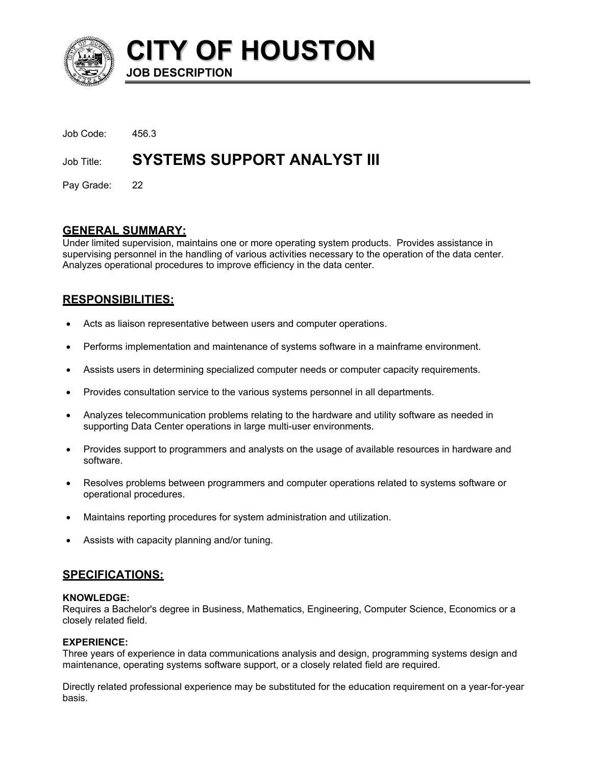

**CITY OF HOUSTON JOB DESCRIPTION** 

| Job Code:  | 456.3                              |
|------------|------------------------------------|
| Job Title: | <b>SYSTEMS SUPPORT ANALYST III</b> |

Pay Grade: 22

# **GENERAL SUMMARY:**

Under limited supervision, maintains one or more operating system products. Provides assistance in supervising personnel in the handling of various activities necessary to the operation of the data center. Analyzes operational procedures to improve efficiency in the data center.

# **RESPONSIBILITIES:**

- Acts as liaison representative between users and computer operations.
- Performs implementation and maintenance of systems software in a mainframe environment.
- Assists users in determining specialized computer needs or computer capacity requirements.
- Provides consultation service to the various systems personnel in all departments.
- Analyzes telecommunication problems relating to the hardware and utility software as needed in supporting Data Center operations in large multi-user environments.
- Provides support to programmers and analysts on the usage of available resources in hardware and software.
- Resolves problems between programmers and computer operations related to systems software or operational procedures.
- Maintains reporting procedures for system administration and utilization.
- Assists with capacity planning and/or tuning.

# **SPECIFICATIONS:**

#### **KNOWLEDGE:**

Requires a Bachelor's degree in Business, Mathematics, Engineering, Computer Science, Economics or a closely related field.

## **EXPERIENCE:**

Three years of experience in data communications analysis and design, programming systems design and maintenance, operating systems software support, or a closely related field are required.

Directly related professional experience may be substituted for the education requirement on a year-for-year basis.